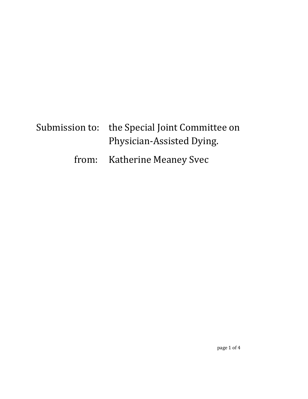## Submission to: the Special Joint Committee on Physician-Assisted Dying.

## from: Katherine Meaney Svec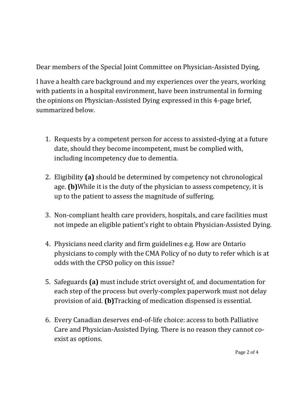Dear members of the Special Joint Committee on Physician-Assisted Dying,

I have a health care background and my experiences over the years, working with patients in a hospital environment, have been instrumental in forming the opinions on Physician-Assisted Dying expressed in this 4-page brief, summarized below.

- 1. Requests by a competent person for access to assisted-dying at a future date, should they become incompetent, must be complied with, including incompetency due to dementia.
- 2. Eligibility **(a)** should be determined by competency not chronological age. **(b)**While it is the duty of the physician to assess competency, it is up to the patient to assess the magnitude of suffering.
- 3. Non-compliant health care providers, hospitals, and care facilities must not impede an eligible patient's right to obtain Physician-Assisted Dying.
- 4. Physicians need clarity and firm guidelines e.g. How are Ontario physicians to comply with the CMA Policy of no duty to refer which is at odds with the CPSO policy on this issue?
- 5. Safeguards **(a)** must include strict oversight of, and documentation for each step of the process but overly-complex paperwork must not delay provision of aid. **(b)**Tracking of medication dispensed is essential.
- 6. Every Canadian deserves end-of-life choice: access to both Palliative Care and Physician-Assisted Dying. There is no reason they cannot coexist as options.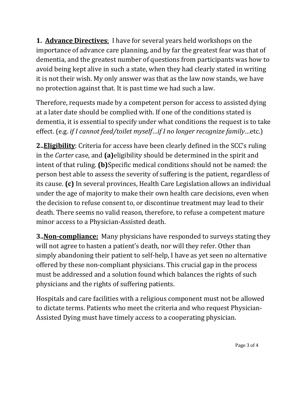**1. Advance Directives**: I have for several years held workshops on the importance of advance care planning, and by far the greatest fear was that of dementia, and the greatest number of questions from participants was how to avoid being kept alive in such a state, when they had clearly stated in writing it is not their wish. My only answer was that as the law now stands, we have no protection against that. It is past time we had such a law.

Therefore, requests made by a competent person for access to assisted dying at a later date should be complied with. If one of the conditions stated is dementia, it is essential to specify under what conditions the request is to take effect. (e.g. *if I cannot feed/toilet myself*…*if I no longer recognize family*…etc.)

**2..Eligibility**: Criteria for access have been clearly defined in the SCC's ruling in the *Carter* case, and **(a)**eligibility should be determined in the spirit and intent of that ruling. **(b)**Specific medical conditions should not be named: the person best able to assess the severity of suffering is the patient, regardless of its cause. **(c)** In several provinces, Health Care Legislation allows an individual under the age of majority to make their own health care decisions, even when the decision to refuse consent to, or discontinue treatment may lead to their death. There seems no valid reason, therefore, to refuse a competent mature minor access to a Physician-Assisted death.

**3..Non-compliance:** Many physicians have responded to surveys stating they will not agree to hasten a patient's death, nor will they refer. Other than simply abandoning their patient to self-help, I have as yet seen no alternative offered by these non-compliant physicians. This crucial gap in the process must be addressed and a solution found which balances the rights of such physicians and the rights of suffering patients.

Hospitals and care facilities with a religious component must not be allowed to dictate terms. Patients who meet the criteria and who request Physician-Assisted Dying must have timely access to a cooperating physician.